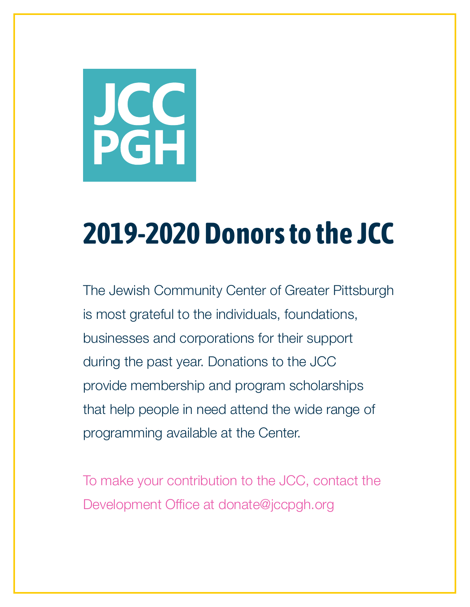

The Jewish Community Center of Greater Pittsburgh is most grateful to the individuals, foundations, businesses and corporations for their support during the past year. Donations to the JCC provide membership and program scholarships that help people in need attend the wide range of programming available at the Center.

To make your contribution to the JCC, contact the Development Office at donate@jccpgh.org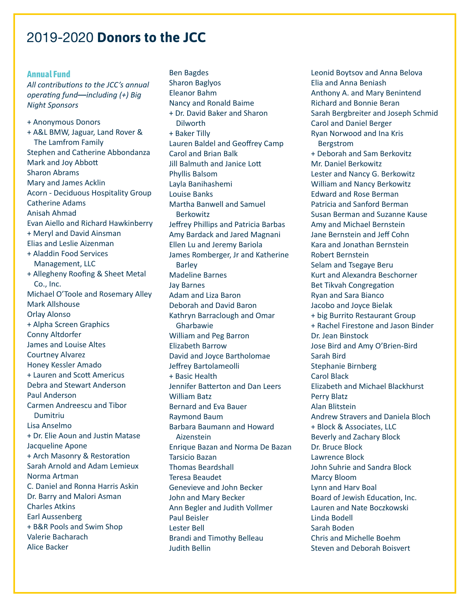#### **Annual Fund**

*All contributions to the JCC's annual operating fund***—***including (+) Big Night Sponsors*

+ Anonymous Donors + A&L BMW, Jaguar, Land Rover & The Lamfrom Family Stephen and Catherine Abbondanza Mark and Joy Abbott Sharon Abrams Mary and James Acklin Acorn - Deciduous Hospitality Group Catherine Adams Anisah Ahmad Evan Aiello and Richard Hawkinberry + Meryl and David Ainsman Elias and Leslie Aizenman + Aladdin Food Services Management, LLC + Allegheny Roofing & Sheet Metal Co., Inc. Michael O'Toole and Rosemary Alley Mark Allshouse Orlay Alonso + Alpha Screen Graphics Conny Altdorfer James and Louise Altes Courtney Alvarez Honey Kessler Amado + Lauren and Scott Americus Debra and Stewart Anderson Paul Anderson Carmen Andreescu and Tibor Dumitriu Lisa Anselmo + Dr. Elie Aoun and Justin Matase Jacqueline Apone + Arch Masonry & Restoration Sarah Arnold and Adam Lemieux Norma Artman C. Daniel and Ronna Harris Askin Dr. Barry and Malori Asman Charles Atkins Earl Aussenberg + B&R Pools and Swim Shop Valerie Bacharach Alice Backer

Ben Bagdes Sharon Baglyos Eleanor Bahm Nancy and Ronald Baime + Dr. David Baker and Sharon **Dilworth** + Baker Tilly Lauren Baldel and Geoffrey Camp Carol and Brian Balk Jill Balmuth and Janice Lott Phyllis Balsom Layla Banihashemi Louise Banks Martha Banwell and Samuel Berkowitz Jeffrey Phillips and Patricia Barbas Amy Bardack and Jared Magnani Ellen Lu and Jeremy Bariola James Romberger, Jr and Katherine Barley Madeline Barnes Jay Barnes Adam and Liza Baron Deborah and David Baron Kathryn Barraclough and Omar Gharbawie William and Peg Barron Elizabeth Barrow David and Joyce Bartholomae Jeffrey Bartolameolli + Basic Health Jennifer Batterton and Dan Leers William Batz Bernard and Eva Bauer Raymond Baum Barbara Baumann and Howard Aizenstein Enrique Bazan and Norma De Bazan Tarsicio Bazan Thomas Beardshall Teresa Beaudet Genevieve and John Becker John and Mary Becker Ann Begler and Judith Vollmer Paul Beisler Lester Bell Brandi and Timothy Belleau Judith Bellin

Leonid Boytsov and Anna Belova Elia and Anna Beniash Anthony A. and Mary Benintend Richard and Bonnie Beran Sarah Bergbreiter and Joseph Schmid Carol and Daniel Berger Ryan Norwood and Ina Kris Bergstrom + Deborah and Sam Berkovitz Mr. Daniel Berkowitz Lester and Nancy G. Berkowitz William and Nancy Berkowitz Edward and Rose Berman Patricia and Sanford Berman Susan Berman and Suzanne Kause Amy and Michael Bernstein Jane Bernstein and Jeff Cohn Kara and Jonathan Bernstein Robert Bernstein Selam and Tsegaye Beru Kurt and Alexandra Beschorner Bet Tikvah Congregation Ryan and Sara Bianco Jacobo and Joyce Bielak + big Burrito Restaurant Group + Rachel Firestone and Jason Binder Dr. Jean Binstock Jose Bird and Amy O'Brien-Bird Sarah Bird Stephanie Birnberg Carol Black Elizabeth and Michael Blackhurst Perry Blatz Alan Blitstein Andrew Stravers and Daniela Bloch + Block & Associates, LLC Beverly and Zachary Block Dr. Bruce Block Lawrence Block John Suhrie and Sandra Block Marcy Bloom Lynn and Harv Boal Board of Jewish Education, Inc. Lauren and Nate Boczkowski Linda Bodell Sarah Boden Chris and Michelle Boehm Steven and Deborah Boisvert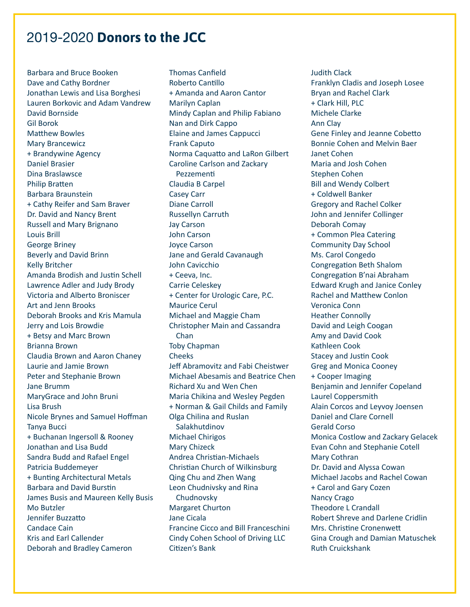Barbara and Bruce Booken Dave and Cathy Bordner Jonathan Lewis and Lisa Borghesi Lauren Borkovic and Adam Vandrew David Bornside Gil Borok Matthew Bowles Mary Brancewicz + Brandywine Agency Daniel Brasier Dina Braslawsce Philip Bratten Barbara Braunstein + Cathy Reifer and Sam Braver Dr. David and Nancy Brent Russell and Mary Brignano Louis Brill George Briney Beverly and David Brinn Kelly Britcher Amanda Brodish and Justin Schell Lawrence Adler and Judy Brody Victoria and Alberto Broniscer Art and Jenn Brooks Deborah Brooks and Kris Mamula Jerry and Lois Browdie + Betsy and Marc Brown Brianna Brown Claudia Brown and Aaron Chaney Laurie and Jamie Brown Peter and Stephanie Brown Jane Brumm MaryGrace and John Bruni Lisa Brush Nicole Brynes and Samuel Hoffman Tanya Bucci + Buchanan Ingersoll & Rooney Jonathan and Lisa Budd Sandra Budd and Rafael Engel Patricia Buddemeyer + Bunting Architectural Metals Barbara and David Burstin James Busis and Maureen Kelly Busis Mo Butzler Jennifer Buzzatto Candace Cain Kris and Earl Callender Deborah and Bradley Cameron

Thomas Canfield Roberto Cantillo + Amanda and Aaron Cantor Marilyn Caplan Mindy Caplan and Philip Fabiano Nan and Dirk Cappo Elaine and James Cappucci Frank Caputo Norma Caquatto and LaRon Gilbert Caroline Carlson and Zackary Pezzementi Claudia B Carpel Casey Carr Diane Carroll Russellyn Carruth Jay Carson John Carson Joyce Carson Jane and Gerald Cavanaugh John Cavicchio + Ceeva, Inc. Carrie Celeskey + Center for Urologic Care, P.C. Maurice Cerul Michael and Maggie Cham Christopher Main and Cassandra Chan Toby Chapman Cheeks Jeff Abramovitz and Fabi Cheistwer Michael Abesamis and Beatrice Chen Richard Xu and Wen Chen Maria Chikina and Wesley Pegden + Norman & Gail Childs and Family Olga Chilina and Ruslan Salakhutdinov Michael Chirigos Mary Chizeck Andrea Christian-Michaels Christian Church of Wilkinsburg Qing Chu and Zhen Wang Leon Chudnivsky and Rina Chudnovsky Margaret Churton Jane Cicala Francine Cicco and Bill Franceschini Cindy Cohen School of Driving LLC Citizen's Bank

Judith Clack Franklyn Cladis and Joseph Losee Bryan and Rachel Clark + Clark Hill, PLC Michele Clarke Ann Clay Gene Finley and Jeanne Cobetto Bonnie Cohen and Melvin Baer Janet Cohen Maria and Josh Cohen Stephen Cohen Bill and Wendy Colbert + Coldwell Banker Gregory and Rachel Colker John and Jennifer Collinger Deborah Comay + Common Plea Catering Community Day School Ms. Carol Congedo Congregation Beth Shalom Congregation B'nai Abraham Edward Krugh and Janice Conley Rachel and Matthew Conlon Veronica Conn Heather Connolly David and Leigh Coogan Amy and David Cook Kathleen Cook Stacey and Justin Cook Greg and Monica Cooney + Cooper Imaging Benjamin and Jennifer Copeland Laurel Coppersmith Alain Corcos and Leyvoy Joensen Daniel and Clare Cornell Gerald Corso Monica Costlow and Zackary Gelacek Evan Cohn and Stephanie Cotell Mary Cothran Dr. David and Alyssa Cowan Michael Jacobs and Rachel Cowan + Carol and Gary Cozen Nancy Crago Theodore L Crandall Robert Shreve and Darlene Cridlin Mrs. Christine Cronenwett Gina Crough and Damian Matuschek Ruth Cruickshank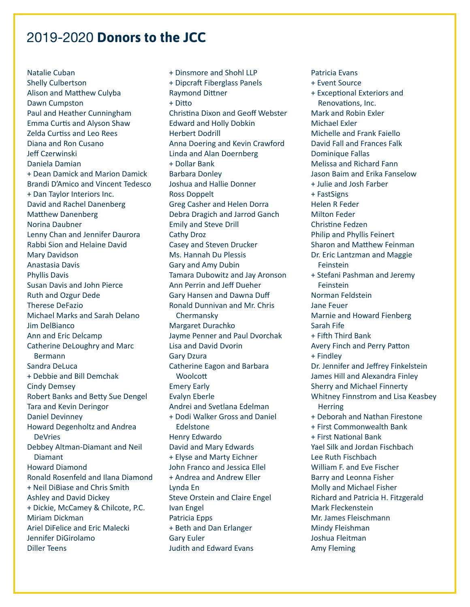Natalie Cuban Shelly Culbertson Alison and Matthew Culyba Dawn Cumpston Paul and Heather Cunningham Emma Curtis and Alyson Shaw Zelda Curtiss and Leo Rees Diana and Ron Cusano Jeff Czerwinski Daniela Damian + Dean Damick and Marion Damick Brandi D'Amico and Vincent Tedesco + Dan Taylor Interiors Inc. David and Rachel Danenberg Matthew Danenberg Norina Daubner Lenny Chan and Jennifer Daurora Rabbi Sion and Helaine David Mary Davidson Anastasia Davis Phyllis Davis Susan Davis and John Pierce Ruth and Ozgur Dede Therese DeFazio Michael Marks and Sarah Delano Jim DelBianco Ann and Eric Delcamp Catherine DeLoughry and Marc Bermann Sandra DeLuca + Debbie and Bill Demchak Cindy Demsey Robert Banks and Betty Sue Dengel Tara and Kevin Deringor Daniel Devinney Howard Degenholtz and Andrea DeVries Debbey Altman-Diamant and Neil Diamant Howard Diamond Ronald Rosenfeld and Ilana Diamond + Neil DiBiase and Chris Smith Ashley and David Dickey + Dickie, McCamey & Chilcote, P.C. Miriam Dickman Ariel DiFelice and Eric Malecki Jennifer DiGirolamo Diller Teens

+ Dinsmore and Shohl LLP + Dipcraft Fiberglass Panels Raymond Dittner + Ditto Christina Dixon and Geoff Webster Edward and Holly Dobkin Herbert Dodrill Anna Doering and Kevin Crawford Linda and Alan Doernberg + Dollar Bank Barbara Donley Joshua and Hallie Donner Ross Doppelt Greg Casher and Helen Dorra Debra Dragich and Jarrod Ganch Emily and Steve Drill Cathy Droz Casey and Steven Drucker Ms. Hannah Du Plessis Gary and Amy Dubin Tamara Dubowitz and Jay Aronson Ann Perrin and Jeff Dueher Gary Hansen and Dawna Duff Ronald Dunnivan and Mr. Chris Chermansky Margaret Durachko Jayme Penner and Paul Dvorchak Lisa and David Dvorin Gary Dzura Catherine Eagon and Barbara **Woolcott** Emery Early Evalyn Eberle Andrei and Svetlana Edelman + Dodi Walker Gross and Daniel Edelstone Henry Edwardo David and Mary Edwards + Elyse and Marty Eichner John Franco and Jessica Ellel + Andrea and Andrew Eller Lynda En Steve Orstein and Claire Engel Ivan Engel Patricia Epps + Beth and Dan Erlanger Gary Euler Judith and Edward Evans

Patricia Evans + Event Source + Exceptional Exteriors and Renovations, Inc. Mark and Robin Exler Michael Exler Michelle and Frank Faiello David Fall and Frances Falk Dominique Fallas Melissa and Richard Fann Jason Baim and Erika Fanselow + Julie and Josh Farber + FastSigns Helen R Feder Milton Feder Christine Fedzen Philip and Phyllis Feinert Sharon and Matthew Feinman Dr. Eric Lantzman and Maggie Feinstein + Stefani Pashman and Jeremy **Feinstein** Norman Feldstein Jane Feuer Marnie and Howard Fienberg Sarah Fife + Fifth Third Bank Avery Finch and Perry Patton + Findley Dr. Jennifer and Jeffrey Finkelstein James Hill and Alexandra Finley Sherry and Michael Finnerty Whitney Finnstrom and Lisa Keasbey **Herring** + Deborah and Nathan Firestone + First Commonwealth Bank + First National Bank Yael Silk and Jordan Fischbach Lee Ruth Fischbach William F. and Eve Fischer Barry and Leonna Fisher Molly and Michael Fisher Richard and Patricia H. Fitzgerald Mark Fleckenstein Mr. James Fleischmann Mindy Fleishman Joshua Fleitman Amy Fleming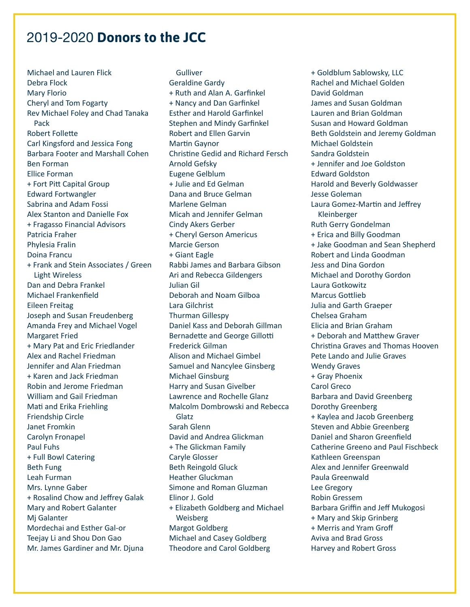Michael and Lauren Flick Debra Flock Mary Florio Cheryl and Tom Fogarty Rev Michael Foley and Chad Tanaka Pack Robert Follette Carl Kingsford and Jessica Fong Barbara Footer and Marshall Cohen Ben Forman Ellice Forman + Fort Pitt Capital Group Edward Fortwangler Sabrina and Adam Fossi Alex Stanton and Danielle Fox + Fragasso Financial Advisors Patricia Fraher Phylesia Fralin Doina Francu + Frank and Stein Associates / Green Light Wireless Dan and Debra Frankel Michael Frankenfield Eileen Freitag Joseph and Susan Freudenberg Amanda Frey and Michael Vogel Margaret Fried + Mary Pat and Eric Friedlander Alex and Rachel Friedman Jennifer and Alan Friedman + Karen and Jack Friedman Robin and Jerome Friedman William and Gail Friedman Mati and Erika Friehling Friendship Circle Janet Fromkin Carolyn Fronapel Paul Fuhs + Full Bowl Catering Beth Fung Leah Furman Mrs. Lynne Gaber + Rosalind Chow and Jeffrey Galak Mary and Robert Galanter Mj Galanter Mordechai and Esther Gal-or Teejay Li and Shou Don Gao Mr. James Gardiner and Mr. Djuna

Gulliver Geraldine Gardy + Ruth and Alan A. Garfinkel + Nancy and Dan Garfinkel Esther and Harold Garfinkel Stephen and Mindy Garfinkel Robert and Ellen Garvin Martin Gaynor Christine Gedid and Richard Fersch Arnold Gefsky Eugene Gelblum + Julie and Ed Gelman Dana and Bruce Gelman Marlene Gelman Micah and Jennifer Gelman Cindy Akers Gerber + Cheryl Gerson Americus Marcie Gerson + Giant Eagle Rabbi James and Barbara Gibson Ari and Rebecca Gildengers Julian Gil Deborah and Noam Gilboa Lara Gilchrist Thurman Gillespy Daniel Kass and Deborah Gillman Bernadette and George Gillotti Frederick Gilman Alison and Michael Gimbel Samuel and Nancylee Ginsberg Michael Ginsburg Harry and Susan Givelber Lawrence and Rochelle Glanz Malcolm Dombrowski and Rebecca Glatz Sarah Glenn David and Andrea Glickman + The Glickman Family Caryle Glosser Beth Reingold Gluck Heather Gluckman Simone and Roman Gluzman Elinor J. Gold + Elizabeth Goldberg and Michael Weisberg Margot Goldberg Michael and Casey Goldberg Theodore and Carol Goldberg

+ Goldblum Sablowsky, LLC Rachel and Michael Golden David Goldman James and Susan Goldman Lauren and Brian Goldman Susan and Howard Goldman Beth Goldstein and Jeremy Goldman Michael Goldstein Sandra Goldstein + Jennifer and Joe Goldston Edward Goldston Harold and Beverly Goldwasser Jesse Goleman Laura Gomez-Martin and Jeffrey Kleinberger Ruth Gerry Gondelman + Erica and Billy Goodman + Jake Goodman and Sean Shepherd Robert and Linda Goodman Jess and Dina Gordon Michael and Dorothy Gordon Laura Gotkowitz Marcus Gottlieb Julia and Garth Graeper Chelsea Graham Elicia and Brian Graham + Deborah and Matthew Graver Christina Graves and Thomas Hooven Pete Lando and Julie Graves Wendy Graves + Gray Phoenix Carol Greco Barbara and David Greenberg Dorothy Greenberg + Kaylea and Jacob Greenberg Steven and Abbie Greenberg Daniel and Sharon Greenfield Catherine Greeno and Paul Fischbeck Kathleen Greenspan Alex and Jennifer Greenwald Paula Greenwald Lee Gregory Robin Gressem Barbara Griffin and Jeff Mukogosi + Mary and Skip Grinberg + Merris and Yram Groff Aviva and Brad Gross Harvey and Robert Gross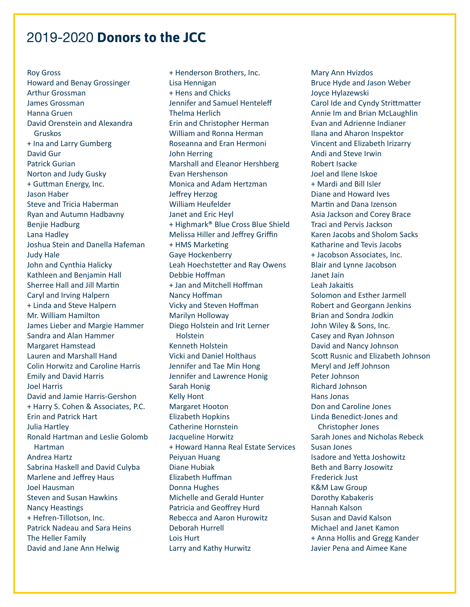Roy Gross Howard and Benay Grossinger Arthur Grossman James Grossman Hanna Gruen David Orenstein and Alexandra Gruskos + Ina and Larry Gumberg David Gur Patrick Gurian Norton and Judy Gusky + Guttman Energy, Inc. Jason Haber Steve and Tricia Haberman Ryan and Autumn Hadbavny Benjie Hadburg Lana Hadley Joshua Stein and Danella Hafeman Judy Hale John and Cynthia Halicky Kathleen and Benjamin Hall Sherree Hall and Jill Martin Caryl and Irving Halpern + Linda and Steve Halpern Mr. William Hamilton James Lieber and Margie Hammer Sandra and Alan Hammer Margaret Hamstead Lauren and Marshall Hand Colin Horwitz and Caroline Harris Emily and David Harris Joel Harris David and Jamie Harris-Gershon + Harry S. Cohen & Associates, P.C. Erin and Patrick Hart Julia Hartley Ronald Hartman and Leslie Golomb Hartman Andrea Hartz Sabrina Haskell and David Culyba Marlene and Jeffrey Haus Joel Hausman Steven and Susan Hawkins Nancy Heastings + Hefren-Tillotson, Inc. Patrick Nadeau and Sara Heins The Heller Family David and Jane Ann Helwig

+ Henderson Brothers, Inc. Lisa Hennigan + Hens and Chicks Jennifer and Samuel Henteleff Thelma Herlich Erin and Christopher Herman William and Ronna Herman Roseanna and Eran Hermoni John Herring Marshall and Eleanor Hershberg Evan Hershenson Monica and Adam Hertzman Jeffrey Herzog William Heufelder Janet and Eric Heyl + Highmark® Blue Cross Blue Shield Melissa Hiller and Jeffrey Griffin + HMS Marketing Gaye Hockenberry Leah Hoechstetter and Ray Owens Debbie Hoffman + Jan and Mitchell Hoffman Nancy Hoffman Vicky and Steven Hoffman Marilyn Holloway Diego Holstein and Irit Lerner **Holstein** Kenneth Holstein Vicki and Daniel Holthaus Jennifer and Tae Min Hong Jennifer and Lawrence Honig Sarah Honig Kelly Hont Margaret Hooton Elizabeth Hopkins Catherine Hornstein Jacqueline Horwitz + Howard Hanna Real Estate Services Peiyuan Huang Diane Hubiak Elizabeth Huffman Donna Hughes Michelle and Gerald Hunter Patricia and Geoffrey Hurd Rebecca and Aaron Hurowitz Deborah Hurrell Lois Hurt Larry and Kathy Hurwitz

Mary Ann Hvizdos Bruce Hyde and Jason Weber Joyce Hylazewski Carol Ide and Cyndy Strittmatter Annie Im and Brian McLaughlin Evan and Adrienne Indianer Ilana and Aharon Inspektor Vincent and Elizabeth Irizarry Andi and Steve Irwin Robert Isacke Joel and Ilene Iskoe + Mardi and Bill Isler Diane and Howard Ives Martin and Dana Izenson Asia Jackson and Corey Brace Traci and Pervis Jackson Karen Jacobs and Sholom Sacks Katharine and Tevis Jacobs + Jacobson Associates, Inc. Blair and Lynne Jacobson Janet Jain Leah Jakaitis Solomon and Esther Jarmell Robert and Georgann Jenkins Brian and Sondra Jodkin John Wiley & Sons, Inc. Casey and Ryan Johnson David and Nancy Johnson Scott Rusnic and Elizabeth Johnson Meryl and Jeff Johnson Peter Johnson Richard Johnson Hans Jonas Don and Caroline Jones Linda Benedict-Jones and Christopher Jones Sarah Jones and Nicholas Rebeck Susan Jones Isadore and Yetta Joshowitz Beth and Barry Josowitz Frederick Just K&M Law Group Dorothy Kabakeris Hannah Kalson Susan and David Kalson Michael and Janet Kamon + Anna Hollis and Gregg Kander Javier Pena and Aimee Kane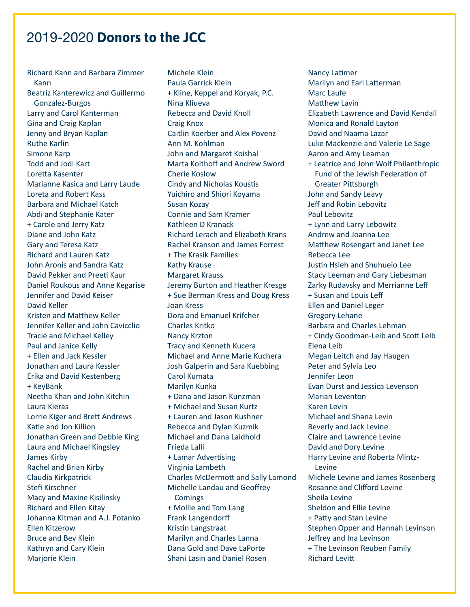Richard Kann and Barbara Zimmer Kann Beatriz Kanterewicz and Guillermo Gonzalez-Burgos Larry and Carol Kanterman Gina and Craig Kaplan Jenny and Bryan Kaplan Ruthe Karlin Simone Karp Todd and Jodi Kart Loretta Kasenter Marianne Kasica and Larry Laude Loreta and Robert Kass Barbara and Michael Katch Abdi and Stephanie Kater + Carole and Jerry Katz Diane and John Katz Gary and Teresa Katz Richard and Lauren Katz John Aronis and Sandra Katz David Pekker and Preeti Kaur Daniel Roukous and Anne Kegarise Jennifer and David Keiser David Keller Kristen and Matthew Keller Jennifer Keller and John Cavicclio Tracie and Michael Kelley Paul and Janice Kelly + Ellen and Jack Kessler Jonathan and Laura Kessler Erika and David Kestenberg + KeyBank Neetha Khan and John Kitchin Laura Kieras Lorrie Kiger and Brett Andrews Katie and Jon Killion Jonathan Green and Debbie King Laura and Michael Kingsley James Kirby Rachel and Brian Kirby Claudia Kirkpatrick Stefi Kirschner Macy and Maxine Kisilinsky Richard and Ellen Kitay Johanna Kitman and A.J. Potanko Ellen Kitzerow Bruce and Bev Klein Kathryn and Cary Klein Marjorie Klein

Michele Klein Paula Garrick Klein + Kline, Keppel and Koryak, P.C. Nina Kliueva Rebecca and David Knoll Craig Knox Caitlin Koerber and Alex Povenz Ann M. Kohlman John and Margaret Koishal Marta Kolthoff and Andrew Sword Cherie Koslow Cindy and Nicholas Koustis Yuichiro and Shiori Koyama Susan Kozay Connie and Sam Kramer Kathleen D Kranack Richard Lerach and Elizabeth Krans Rachel Kranson and James Forrest + The Krasik Families Kathy Krause Margaret Krauss Jeremy Burton and Heather Kresge + Sue Berman Kress and Doug Kress Joan Kress Dora and Emanuel Krifcher Charles Kritko Nancy Krzton Tracy and Kenneth Kucera Michael and Anne Marie Kuchera Josh Galperin and Sara Kuebbing Carol Kumata Marilyn Kunka + Dana and Jason Kunzman + Michael and Susan Kurtz + Lauren and Jason Kushner Rebecca and Dylan Kuzmik Michael and Dana Laidhold Frieda Lalli + Lamar Advertising Virginia Lambeth Charles McDermott and Sally Lamond Michelle Landau and Geoffrey Comings + Mollie and Tom Lang Frank Langendorff Kristin Langstraat Marilyn and Charles Lanna Dana Gold and Dave LaPorte Shani Lasin and Daniel Rosen

Nancy Latimer Marilyn and Earl Latterman Marc Laufe Matthew Lavin Elizabeth Lawrence and David Kendall Monica and Ronald Layton David and Naama Lazar Luke Mackenzie and Valerie Le Sage Aaron and Amy Leaman + Leatrice and John Wolf Philanthropic Fund of the Jewish Federation of Greater Pittsburgh John and Sandy Leavy Jeff and Robin Lebovitz Paul Lebovitz + Lynn and Larry Lebowitz Andrew and Joanna Lee Matthew Rosengart and Janet Lee Rebecca Lee Justin Hsieh and Shuhueio Lee Stacy Leeman and Gary Liebesman Zarky Rudavsky and Merrianne Leff + Susan and Louis Leff Ellen and Daniel Leger Gregory Lehane Barbara and Charles Lehman + Cindy Goodman-Leib and Scott Leib Elena Leib Megan Leitch and Jay Haugen Peter and Sylvia Leo Jennifer Leon Evan Durst and Jessica Levenson Marian Leventon Karen Levin Michael and Shana Levin Beverly and Jack Levine Claire and Lawrence Levine David and Dory Levine Harry Levine and Roberta Mintz-Levine Michele Levine and James Rosenberg Rosanne and Clifford Levine Sheila Levine Sheldon and Ellie Levine + Patty and Stan Levine Stephen Opper and Hannah Levinson Jeffrey and Ina Levinson + The Levinson Reuben Family Richard Levitt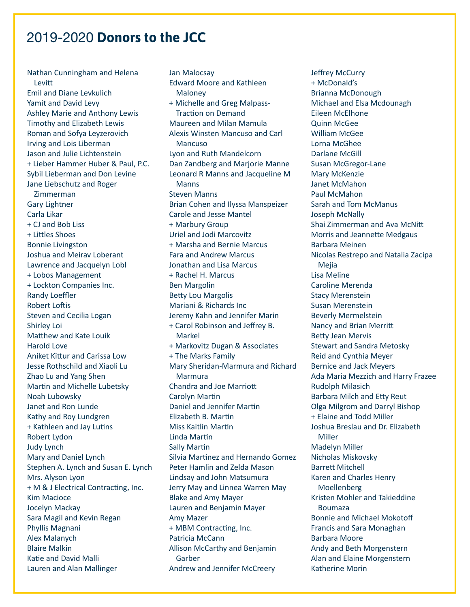Nathan Cunningham and Helena Levitt Emil and Diane Levkulich Yamit and David Levy Ashley Marie and Anthony Lewis Timothy and Elizabeth Lewis Roman and Sofya Leyzerovich Irving and Lois Liberman Jason and Julie Lichtenstein + Lieber Hammer Huber & Paul, P.C. Sybil Lieberman and Don Levine Jane Liebschutz and Roger Zimmerman Gary Lightner Carla Likar + CJ and Bob Liss + Littles Shoes Bonnie Livingston Joshua and Meirav Loberant Lawrence and Jacquelyn Lobl + Lobos Management + Lockton Companies Inc. Randy Loeffler Robert Loftis Steven and Cecilia Logan Shirley Loi Matthew and Kate Louik Harold Love Aniket Kittur and Carissa Low Jesse Rothschild and Xiaoli Lu Zhao Lu and Yang Shen Martin and Michelle Lubetsky Noah Lubowsky Janet and Ron Lunde Kathy and Roy Lundgren + Kathleen and Jay Lutins Robert Lydon Judy Lynch Mary and Daniel Lynch Stephen A. Lynch and Susan E. Lynch Mrs. Alyson Lyon + M & J Electrical Contracting, Inc. Kim Macioce Jocelyn Mackay Sara Magil and Kevin Regan Phyllis Magnani Alex Malanych Blaire Malkin Katie and David Malli Lauren and Alan Mallinger

Jan Malocsay Edward Moore and Kathleen Maloney + Michelle and Greg Malpass-Traction on Demand Maureen and Milan Mamula Alexis Winsten Mancuso and Carl Mancuso Lyon and Ruth Mandelcorn Dan Zandberg and Marjorie Manne Leonard R Manns and Jacqueline M Manns Steven Manns Brian Cohen and Ilyssa Manspeizer Carole and Jesse Mantel + Marbury Group Uriel and Jodi Marcovitz + Marsha and Bernie Marcus Fara and Andrew Marcus Jonathan and Lisa Marcus + Rachel H. Marcus Ben Margolin Betty Lou Margolis Mariani & Richards Inc Jeremy Kahn and Jennifer Marin + Carol Robinson and Jeffrey B. Markel + Markovitz Dugan & Associates + The Marks Family Mary Sheridan-Marmura and Richard Marmura Chandra and Joe Marriott Carolyn Martin Daniel and Jennifer Martin Elizabeth B. Martin Miss Kaitlin Martin Linda Martin Sally Martin Silvia Martinez and Hernando Gomez Peter Hamlin and Zelda Mason Lindsay and John Matsumura Jerry May and Linnea Warren May Blake and Amy Mayer Lauren and Benjamin Mayer Amy Mazer + MBM Contracting, Inc. Patricia McCann Allison McCarthy and Benjamin Garber Andrew and Jennifer McCreery

Jeffrey McCurry + McDonald's Brianna McDonough Michael and Elsa Mcdounagh Eileen McElhone Quinn McGee William McGee Lorna McGhee Darlane McGill Susan McGregor-Lane Mary McKenzie Janet McMahon Paul McMahon Sarah and Tom McManus Joseph McNally Shai Zimmerman and Ava McNitt Morris and Jeannette Medgaus Barbara Meinen Nicolas Restrepo and Natalia Zacipa Mejia Lisa Meline Caroline Merenda Stacy Merenstein Susan Merenstein Beverly Mermelstein Nancy and Brian Merritt Betty Jean Mervis Stewart and Sandra Metosky Reid and Cynthia Meyer Bernice and Jack Meyers Ada Maria Mezzich and Harry Frazee Rudolph Milasich Barbara Milch and Etty Reut Olga Milgrom and Darryl Bishop + Elaine and Todd Miller Joshua Breslau and Dr. Elizabeth Miller Madelyn Miller Nicholas Miskovsky Barrett Mitchell Karen and Charles Henry Moellenberg Kristen Mohler and Takieddine Boumaza Bonnie and Michael Mokotoff Francis and Sara Monaghan Barbara Moore Andy and Beth Morgenstern Alan and Elaine Morgenstern Katherine Morin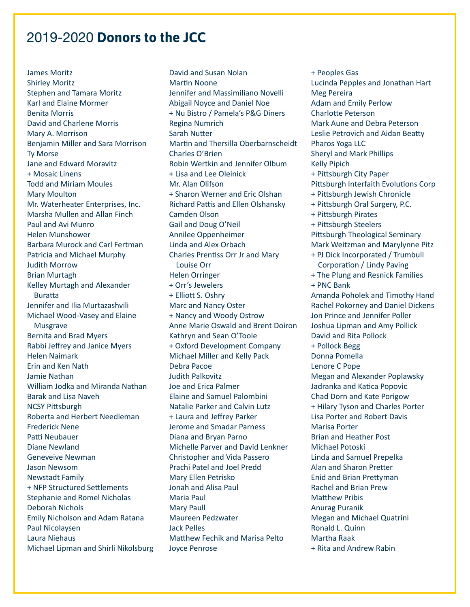James Moritz Shirley Moritz Stephen and Tamara Moritz Karl and Elaine Mormer Benita Morris David and Charlene Morris Mary A. Morrison Benjamin Miller and Sara Morrison Ty Morse Jane and Edward Moravitz + Mosaic Linens Todd and Miriam Moules Mary Moulton Mr. Waterheater Enterprises, Inc. Marsha Mullen and Allan Finch Paul and Avi Munro Helen Munshower Barbara Murock and Carl Fertman Patricia and Michael Murphy Judith Morrow Brian Murtagh Kelley Murtagh and Alexander Buratta Jennifer and Ilia Murtazashvili Michael Wood-Vasey and Elaine Musgrave Bernita and Brad Myers Rabbi Jeffrey and Janice Myers Helen Naimark Erin and Ken Nath Jamie Nathan William Jodka and Miranda Nathan Barak and Lisa Naveh NCSY Pittsburgh Roberta and Herbert Needleman Frederick Nene Patti Neubauer Diane Newland Geneveive Newman Jason Newsom Newstadt Family + NFP Structured Settlements Stephanie and Romel Nicholas Deborah Nichols Emily Nicholson and Adam Ratana Paul Nicolaysen Laura Niehaus Michael Lipman and Shirli Nikolsburg

David and Susan Nolan Martin Noone Jennifer and Massimiliano Novelli Abigail Noyce and Daniel Noe + Nu Bistro / Pamela's P&G Diners Regina Numrich Sarah Nutter Martin and Thersilla Oberbarnscheidt Charles O'Brien Robin Wertkin and Jennifer Olbum + Lisa and Lee Oleinick Mr. Alan Olifson + Sharon Werner and Eric Olshan Richard Pattis and Ellen Olshansky Camden Olson Gail and Doug O'Neil Annilee Oppenheimer Linda and Alex Orbach Charles Prentiss Orr Jr and Mary Louise Orr Helen Orringer + Orr's Jewelers + Elliott S. Oshry Marc and Nancy Oster + Nancy and Woody Ostrow Anne Marie Oswald and Brent Doiron Kathryn and Sean O'Toole + Oxford Development Company Michael Miller and Kelly Pack Debra Pacoe Judith Palkovitz Joe and Erica Palmer Elaine and Samuel Palombini Natalie Parker and Calvin Lutz + Laura and Jeffrey Parker Jerome and Smadar Parness Diana and Bryan Parno Michelle Parver and David Lenkner Christopher and Vida Passero Prachi Patel and Joel Predd Mary Ellen Petrisko Jonah and Alisa Paul Maria Paul Mary Paull Maureen Pedzwater Jack Pelles Matthew Fechik and Marisa Pelto Joyce Penrose

+ Peoples Gas Lucinda Pepples and Jonathan Hart Meg Pereira Adam and Emily Perlow Charlotte Peterson Mark Aune and Debra Peterson Leslie Petrovich and Aidan Beatty Pharos Yoga LLC Sheryl and Mark Phillips Kelly Pipich + Pittsburgh City Paper Pittsburgh Interfaith Evolutions Corp + Pittsburgh Jewish Chronicle + Pittsburgh Oral Surgery, P.C. + Pittsburgh Pirates + Pittsburgh Steelers Pittsburgh Theological Seminary Mark Weitzman and Marylynne Pitz + PJ Dick Incorporated / Trumbull Corporation / Lindy Paving + The Plung and Resnick Families + PNC Bank Amanda Poholek and Timothy Hand Rachel Pokorney and Daniel Dickens Jon Prince and Jennifer Poller Joshua Lipman and Amy Pollick David and Rita Pollock + Pollock Begg Donna Pomella Lenore C Pope Megan and Alexander Poplawsky Jadranka and Katica Popovic Chad Dorn and Kate Porigow + Hilary Tyson and Charles Porter Lisa Porter and Robert Davis Marisa Porter Brian and Heather Post Michael Potoski Linda and Samuel Prepelka Alan and Sharon Pretter Enid and Brian Prettyman Rachel and Brian Prew Matthew Pribis Anurag Puranik Megan and Michael Quatrini Ronald L. Quinn Martha Raak + Rita and Andrew Rabin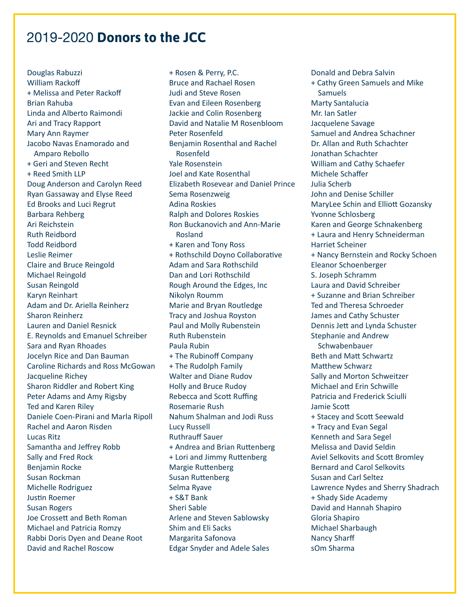Douglas Rabuzzi William Rackoff + Melissa and Peter Rackoff Brian Rahuba Linda and Alberto Raimondi Ari and Tracy Rapport Mary Ann Raymer Jacobo Navas Enamorado and Amparo Rebollo + Geri and Steven Recht + Reed Smith LLP Doug Anderson and Carolyn Reed Ryan Gassaway and Elyse Reed Ed Brooks and Luci Regrut Barbara Rehberg Ari Reichstein Ruth Reidbord Todd Reidbord Leslie Reimer Claire and Bruce Reingold Michael Reingold Susan Reingold Karyn Reinhart Adam and Dr. Ariella Reinherz Sharon Reinherz Lauren and Daniel Resnick E. Reynolds and Emanuel Schreiber Sara and Ryan Rhoades Jocelyn Rice and Dan Bauman Caroline Richards and Ross McGowan Jacqueline Richey Sharon Riddler and Robert King Peter Adams and Amy Rigsby Ted and Karen Riley Daniele Coen-Pirani and Marla Ripoll Rachel and Aaron Risden Lucas Ritz Samantha and Jeffrey Robb Sally and Fred Rock Benjamin Rocke Susan Rockman Michelle Rodriguez Justin Roemer Susan Rogers Joe Crossett and Beth Roman Michael and Patricia Romzy Rabbi Doris Dyen and Deane Root David and Rachel Roscow

+ Rosen & Perry, P.C. Bruce and Rachael Rosen Judi and Steve Rosen Evan and Eileen Rosenberg Jackie and Colin Rosenberg David and Natalie M Rosenbloom Peter Rosenfeld Benjamin Rosenthal and Rachel Rosenfeld Yale Rosenstein Joel and Kate Rosenthal Elizabeth Rosevear and Daniel Prince Sema Rosenzweig Adina Roskies Ralph and Dolores Roskies Ron Buckanovich and Ann-Marie Rosland + Karen and Tony Ross + Rothschild Doyno Collaborative Adam and Sara Rothschild Dan and Lori Rothschild Rough Around the Edges, Inc Nikolyn Roumm Marie and Bryan Routledge Tracy and Joshua Royston Paul and Molly Rubenstein Ruth Rubenstein Paula Rubin + The Rubinoff Company + The Rudolph Family Walter and Diane Rudov Holly and Bruce Rudoy Rebecca and Scott Ruffing Rosemarie Rush Nahum Shalman and Jodi Russ Lucy Russell Ruthrauff Sauer + Andrea and Brian Ruttenberg + Lori and Jimmy Ruttenberg Margie Ruttenberg Susan Ruttenberg Selma Ryave + S&T Bank Sheri Sable Arlene and Steven Sablowsky Shim and Eli Sacks Margarita Safonova Edgar Snyder and Adele Sales

Donald and Debra Salvin + Cathy Green Samuels and Mike Samuels Marty Santalucia Mr. Ian Satler Jacquelene Savage Samuel and Andrea Schachner Dr. Allan and Ruth Schachter Jonathan Schachter William and Cathy Schaefer Michele Schaffer Julia Scherb John and Denise Schiller MaryLee Schin and Elliott Gozansky Yvonne Schlosberg Karen and George Schnakenberg + Laura and Henry Schneiderman Harriet Scheiner + Nancy Bernstein and Rocky Schoen Eleanor Schoenberger S. Joseph Schramm Laura and David Schreiber + Suzanne and Brian Schreiber Ted and Theresa Schroeder James and Cathy Schuster Dennis Jett and Lynda Schuster Stephanie and Andrew Schwabenbauer Beth and Matt Schwartz Matthew Schwarz Sally and Morton Schweitzer Michael and Erin Schwille Patricia and Frederick Sciulli Jamie Scott + Stacey and Scott Seewald + Tracy and Evan Segal Kenneth and Sara Segel Melissa and David Seldin Aviel Selkovits and Scott Bromley Bernard and Carol Selkovits Susan and Carl Seltez Lawrence Nydes and Sherry Shadrach + Shady Side Academy David and Hannah Shapiro Gloria Shapiro Michael Sharbaugh Nancy Sharff sOm Sharma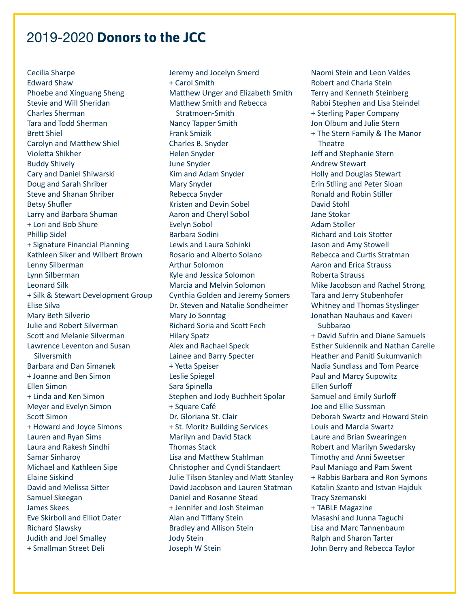Cecilia Sharpe Edward Shaw Phoebe and Xinguang Sheng Stevie and Will Sheridan Charles Sherman Tara and Todd Sherman Brett Shiel Carolyn and Matthew Shiel Violetta Shikher Buddy Shively Cary and Daniel Shiwarski Doug and Sarah Shriber Steve and Shanan Shriber Betsy Shufler Larry and Barbara Shuman + Lori and Bob Shure Phillip Sidel + Signature Financial Planning Kathleen Siker and Wilbert Brown Lenny Silberman Lynn Silberman Leonard Silk + Silk & Stewart Development Group Elise Silva Mary Beth Silverio Julie and Robert Silverman Scott and Melanie Silverman Lawrence Leventon and Susan **Silversmith** Barbara and Dan Simanek + Joanne and Ben Simon Ellen Simon + Linda and Ken Simon Meyer and Evelyn Simon Scott Simon + Howard and Joyce Simons Lauren and Ryan Sims Laura and Rakesh Sindhi Samar Sinharoy Michael and Kathleen Sipe Elaine Siskind David and Melissa Sitter Samuel Skeegan James Skees Eve Skirboll and Elliot Dater Richard Slawsky Judith and Joel Smalley + Smallman Street Deli

Jeremy and Jocelyn Smerd + Carol Smith Matthew Unger and Elizabeth Smith Matthew Smith and Rebecca Stratmoen-Smith Nancy Tapper Smith Frank Smizik Charles B. Snyder Helen Snyder June Snyder Kim and Adam Snyder Mary Snyder Rebecca Snyder Kristen and Devin Sobel Aaron and Cheryl Sobol Evelyn Sobol Barbara Sodini Lewis and Laura Sohinki Rosario and Alberto Solano Arthur Solomon Kyle and Jessica Solomon Marcia and Melvin Solomon Cynthia Golden and Jeremy Somers Dr. Steven and Natalie Sondheimer Mary Jo Sonntag Richard Soria and Scott Fech Hilary Spatz Alex and Rachael Speck Lainee and Barry Specter + Yetta Speiser Leslie Spiegel Sara Spinella Stephen and Jody Buchheit Spolar + Square Café Dr. Gloriana St. Clair + St. Moritz Building Services Marilyn and David Stack Thomas Stack Lisa and Matthew Stahlman Christopher and Cyndi Standaert Julie Tilson Stanley and Matt Stanley David Jacobson and Lauren Statman Daniel and Rosanne Stead + Jennifer and Josh Steiman Alan and Tiffany Stein Bradley and Allison Stein Jody Stein Joseph W Stein

Naomi Stein and Leon Valdes Robert and Charla Stein Terry and Kenneth Steinberg Rabbi Stephen and Lisa Steindel + Sterling Paper Company Jon Olbum and Julie Stern + The Stern Family & The Manor **Theatre** Jeff and Stephanie Stern Andrew Stewart Holly and Douglas Stewart Erin Stiling and Peter Sloan Ronald and Robin Stiller David Stohl Jane Stokar Adam Stoller Richard and Lois Stotter Jason and Amy Stowell Rebecca and Curtis Stratman Aaron and Erica Strauss Roberta Strauss Mike Jacobson and Rachel Strong Tara and Jerry Stubenhofer Whitney and Thomas Styslinger Jonathan Nauhaus and Kaveri Subbarao + David Sufrin and Diane Samuels Esther Sukiennik and Nathan Carelle Heather and Paniti Sukumvanich Nadia Sundlass and Tom Pearce Paul and Marcy Supowitz Ellen Surloff Samuel and Emily Surloff Joe and Ellie Sussman Deborah Swartz and Howard Stein Louis and Marcia Swartz Laure and Brian Swearingen Robert and Marilyn Swedarsky Timothy and Anni Sweetser Paul Maniago and Pam Swent + Rabbis Barbara and Ron Symons Katalin Szanto and Istvan Hajduk Tracy Szemanski + TABLE Magazine Masashi and Junna Taguchi Lisa and Marc Tannenbaum Ralph and Sharon Tarter John Berry and Rebecca Taylor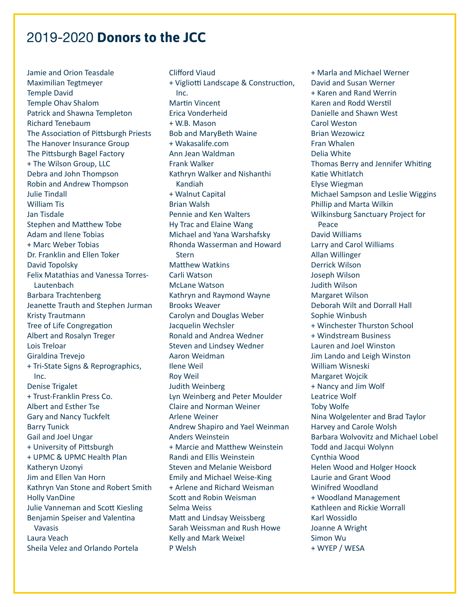Jamie and Orion Teasdale Maximilian Tegtmeyer Temple David Temple Ohav Shalom Patrick and Shawna Templeton Richard Tenebaum The Association of Pittsburgh Priests The Hanover Insurance Group The Pittsburgh Bagel Factory + The Wilson Group, LLC Debra and John Thompson Robin and Andrew Thompson Julie Tindall William Tis Jan Tisdale Stephen and Matthew Tobe Adam and Ilene Tobias + Marc Weber Tobias Dr. Franklin and Ellen Toker David Topolsky Felix Matathias and Vanessa Torres-Lautenbach Barbara Trachtenberg Jeanette Trauth and Stephen Jurman Kristy Trautmann Tree of Life Congregation Albert and Rosalyn Treger Lois Treloar Giraldina Trevejo + Tri-State Signs & Reprographics, Inc. Denise Trigalet + Trust-Franklin Press Co. Albert and Esther Tse Gary and Nancy Tuckfelt Barry Tunick Gail and Joel Ungar + University of Pittsburgh + UPMC & UPMC Health Plan Katheryn Uzonyi Jim and Ellen Van Horn Kathryn Van Stone and Robert Smith Holly VanDine Julie Vanneman and Scott Kiesling Benjamin Speiser and Valentina Vavasis Laura Veach Sheila Velez and Orlando Portela

Clifford Viaud + Vigliotti Landscape & Construction, Inc. Martin Vincent Erica Vonderheid + W.B. Mason Bob and MaryBeth Waine + Wakasalife.com Ann Jean Waldman Frank Walker Kathryn Walker and Nishanthi Kandiah + Walnut Capital Brian Walsh Pennie and Ken Walters Hy Trac and Elaine Wang Michael and Yana Warshafsky Rhonda Wasserman and Howard **Stern** Matthew Watkins Carli Watson McLane Watson Kathryn and Raymond Wayne Brooks Weaver Carolyn and Douglas Weber Jacquelin Wechsler Ronald and Andrea Wedner Steven and Lindsey Wedner Aaron Weidman Ilene Weil Roy Weil Judith Weinberg Lyn Weinberg and Peter Moulder Claire and Norman Weiner Arlene Weiner Andrew Shapiro and Yael Weinman Anders Weinstein + Marcie and Matthew Weinstein Randi and Ellis Weinstein Steven and Melanie Weisbord Emily and Michael Weise-King + Arlene and Richard Weisman Scott and Robin Weisman Selma Weiss Matt and Lindsay Weissberg Sarah Weissman and Rush Howe Kelly and Mark Weixel P Welsh

+ Marla and Michael Werner David and Susan Werner + Karen and Rand Werrin Karen and Rodd Werstil Danielle and Shawn West Carol Weston Brian Wezowicz Fran Whalen Delia White Thomas Berry and Jennifer Whiting Katie Whitlatch Elyse Wiegman Michael Sampson and Leslie Wiggins Phillip and Marta Wilkin Wilkinsburg Sanctuary Project for Peace David Williams Larry and Carol Williams Allan Willinger Derrick Wilson Joseph Wilson Judith Wilson Margaret Wilson Deborah Wilt and Dorrall Hall Sophie Winbush + Winchester Thurston School + Windstream Business Lauren and Joel Winston Jim Lando and Leigh Winston William Wisneski Margaret Wojcik + Nancy and Jim Wolf Leatrice Wolf Toby Wolfe Nina Wolgelenter and Brad Taylor Harvey and Carole Wolsh Barbara Wolvovitz and Michael Lobel Todd and Jacqui Wolynn Cynthia Wood Helen Wood and Holger Hoock Laurie and Grant Wood Winifred Woodland + Woodland Management Kathleen and Rickie Worrall Karl Wossidlo Joanne A Wright Simon Wu + WYEP / WESA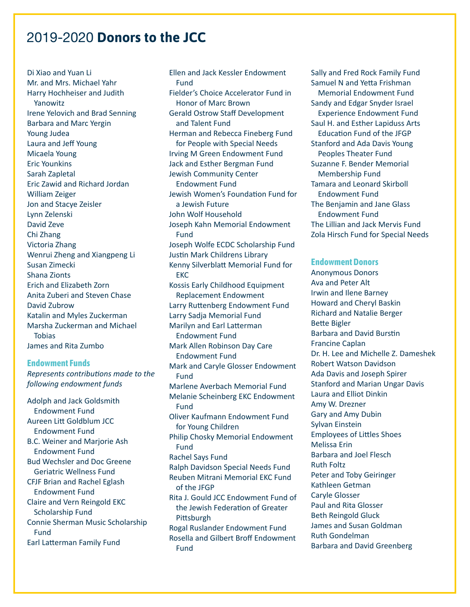Di Xiao and Yuan Li Mr. and Mrs. Michael Yahr Harry Hochheiser and Judith Yanowitz Irene Yelovich and Brad Senning Barbara and Marc Yergin Young Judea Laura and Jeff Young Micaela Young Eric Younkins Sarah Zapletal Eric Zawid and Richard Jordan William Zeiger Jon and Stacye Zeisler Lynn Zelenski David Zeve Chi Zhang Victoria Zhang Wenrui Zheng and Xiangpeng Li Susan Zimecki Shana Zionts Erich and Elizabeth Zorn Anita Zuberi and Steven Chase David Zubrow Katalin and Myles Zuckerman Marsha Zuckerman and Michael Tobias James and Rita Zumbo

#### **Endowment Funds**

*Represents contributions made to the following endowment funds*

Adolph and Jack Goldsmith Endowment Fund Aureen Litt Goldblum JCC Endowment Fund B.C. Weiner and Marjorie Ash Endowment Fund Bud Wechsler and Doc Greene Geriatric Wellness Fund CFJF Brian and Rachel Eglash Endowment Fund Claire and Vern Reingold EKC Scholarship Fund Connie Sherman Music Scholarship Fund Earl Latterman Family Fund

Ellen and Jack Kessler Endowment Fund Fielder's Choice Accelerator Fund in Honor of Marc Brown Gerald Ostrow Staff Development and Talent Fund Herman and Rebecca Fineberg Fund for People with Special Needs Irving M Green Endowment Fund Jack and Esther Bergman Fund Jewish Community Center Endowment Fund Jewish Women's Foundation Fund for a Jewish Future John Wolf Household Joseph Kahn Memorial Endowment Fund Joseph Wolfe ECDC Scholarship Fund Justin Mark Childrens Library Kenny Silverblatt Memorial Fund for EKC Kossis Early Childhood Equipment Replacement Endowment Larry Ruttenberg Endowment Fund Larry Sadja Memorial Fund Marilyn and Earl Latterman Endowment Fund Mark Allen Robinson Day Care Endowment Fund Mark and Caryle Glosser Endowment Fund Marlene Averbach Memorial Fund Melanie Scheinberg EKC Endowment Fund Oliver Kaufmann Endowment Fund for Young Children Philip Chosky Memorial Endowment Fund Rachel Says Fund Ralph Davidson Special Needs Fund Reuben Mitrani Memorial EKC Fund of the JFGP Rita J. Gould JCC Endowment Fund of the Jewish Federation of Greater Pittsburgh Rogal Ruslander Endowment Fund Rosella and Gilbert Broff Endowment Fund

Sally and Fred Rock Family Fund Samuel N and Yetta Frishman Memorial Endowment Fund Sandy and Edgar Snyder Israel Experience Endowment Fund Saul H. and Esther Lapiduss Arts Education Fund of the JFGP Stanford and Ada Davis Young Peoples Theater Fund Suzanne F. Bender Memorial Membership Fund Tamara and Leonard Skirboll Endowment Fund The Benjamin and Jane Glass Endowment Fund The Lillian and Jack Mervis Fund Zola Hirsch Fund for Special Needs

### **Endowment Donors**

Anonymous Donors Ava and Peter Alt Irwin and Ilene Barney Howard and Cheryl Baskin Richard and Natalie Berger Bette Bigler Barbara and David Burstin Francine Caplan Dr. H. Lee and Michelle Z. Dameshek Robert Watson Davidson Ada Davis and Joseph Spirer Stanford and Marian Ungar Davis Laura and Elliot Dinkin Amy W. Drezner Gary and Amy Dubin Sylvan Einstein Employees of Littles Shoes Melissa Erin Barbara and Joel Flesch Ruth Foltz Peter and Toby Geiringer Kathleen Getman Caryle Glosser Paul and Rita Glosser Beth Reingold Gluck James and Susan Goldman Ruth Gondelman Barbara and David Greenberg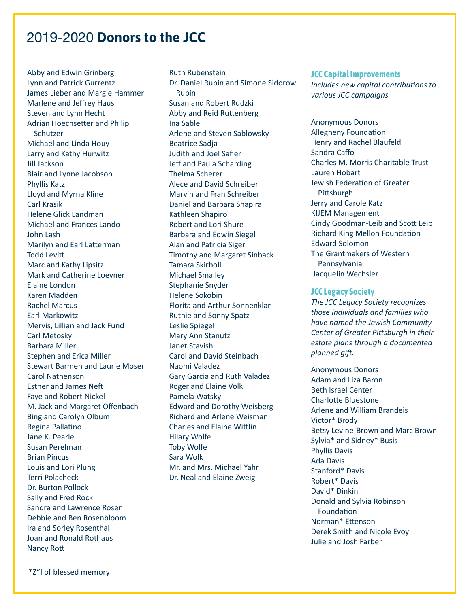Abby and Edwin Grinberg Lynn and Patrick Gurrentz James Lieber and Margie Hammer Marlene and Jeffrey Haus Steven and Lynn Hecht Adrian Hoechsetter and Philip Schutzer Michael and Linda Houy Larry and Kathy Hurwitz Jill Jackson Blair and Lynne Jacobson Phyllis Katz Lloyd and Myrna Kline Carl Krasik Helene Glick Landman Michael and Frances Lando John Lash Marilyn and Earl Latterman Todd Levitt Marc and Kathy Lipsitz Mark and Catherine Loevner Elaine London Karen Madden Rachel Marcus Earl Markowitz Mervis, Lillian and Jack Fund Carl Metosky Barbara Miller Stephen and Erica Miller Stewart Barmen and Laurie Moser Carol Nathenson Esther and James Neft Faye and Robert Nickel M. Jack and Margaret Offenbach Bing and Carolyn Olbum Regina Pallatino Jane K. Pearle Susan Perelman Brian Pincus Louis and Lori Plung Terri Polacheck Dr. Burton Pollock Sally and Fred Rock Sandra and Lawrence Rosen Debbie and Ben Rosenbloom Ira and Sorley Rosenthal Joan and Ronald Rothaus Nancy Rott

Ruth Rubenstein Dr. Daniel Rubin and Simone Sidorow Rubin Susan and Robert Rudzki Abby and Reid Ruttenberg Ina Sable Arlene and Steven Sablowsky Beatrice Sadja Judith and Joel Safier Jeff and Paula Scharding Thelma Scherer Alece and David Schreiber Marvin and Fran Schreiber Daniel and Barbara Shapira Kathleen Shapiro Robert and Lori Shure Barbara and Edwin Siegel Alan and Patricia Siger Timothy and Margaret Sinback Tamara Skirboll Michael Smalley Stephanie Snyder Helene Sokobin Florita and Arthur Sonnenklar Ruthie and Sonny Spatz Leslie Spiegel Mary Ann Stanutz Janet Stavish Carol and David Steinbach Naomi Valadez Gary Garcia and Ruth Valadez Roger and Elaine Volk Pamela Watsky Edward and Dorothy Weisberg Richard and Arlene Weisman Charles and Elaine Wittlin Hilary Wolfe Toby Wolfe Sara Wolk Mr. and Mrs. Michael Yahr Dr. Neal and Elaine Zweig

#### **JCC Capital Improvements**

*Includes new capital contributions to various JCC campaigns*

Anonymous Donors Allegheny Foundation Henry and Rachel Blaufeld Sandra Caffo Charles M. Morris Charitable Trust Lauren Hobart Jewish Federation of Greater Pittsburgh Jerry and Carole Katz KIJEM Management Cindy Goodman-Leib and Scott Leib Richard King Mellon Foundation Edward Solomon The Grantmakers of Western Pennsylvania Jacquelin Wechsler

#### **JCC Legacy Society**

*The JCC Legacy Society recognizes those individuals and families who have named the Jewish Community Center of Greater Pittsburgh in their estate plans through a documented planned gift.* 

Anonymous Donors Adam and Liza Baron Beth Israel Center Charlotte Bluestone Arlene and William Brandeis Victor\* Brody Betsy Levine-Brown and Marc Brown Sylvia\* and Sidney\* Busis Phyllis Davis Ada Davis Stanford\* Davis Robert\* Davis David\* Dinkin Donald and Sylvia Robinson Foundation Norman\* Ettenson Derek Smith and Nicole Evoy Julie and Josh Farber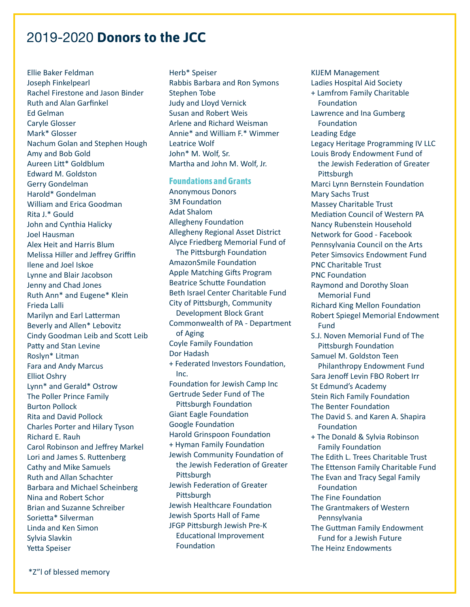Ellie Baker Feldman Joseph Finkelpearl Rachel Firestone and Jason Binder Ruth and Alan Garfinkel Ed Gelman Caryle Glosser Mark\* Glosser Nachum Golan and Stephen Hough Amy and Bob Gold Aureen Litt\* Goldblum Edward M. Goldston Gerry Gondelman Harold\* Gondelman William and Erica Goodman Rita J.\* Gould John and Cynthia Halicky Joel Hausman Alex Heit and Harris Blum Melissa Hiller and Jeffrey Griffin Ilene and Joel Iskoe Lynne and Blair Jacobson Jenny and Chad Jones Ruth Ann\* and Eugene\* Klein Frieda Lalli Marilyn and Earl Latterman Beverly and Allen\* Lebovitz Cindy Goodman Leib and Scott Leib Patty and Stan Levine Roslyn\* Litman Fara and Andy Marcus Elliot Oshry Lynn\* and Gerald\* Ostrow The Poller Prince Family Burton Pollock Rita and David Pollock Charles Porter and Hilary Tyson Richard E. Rauh Carol Robinson and Jeffrey Markel Lori and James S. Ruttenberg Cathy and Mike Samuels Ruth and Allan Schachter Barbara and Michael Scheinberg Nina and Robert Schor Brian and Suzanne Schreiber Sorietta\* Silverman Linda and Ken Simon Sylvia Slavkin Yetta Speiser

Herb\* Speiser Rabbis Barbara and Ron Symons Stephen Tobe Judy and Lloyd Vernick Susan and Robert Weis Arlene and Richard Weisman Annie\* and William F.\* Wimmer Leatrice Wolf John\* M. Wolf, Sr. Martha and John M. Wolf, Jr.

#### **Foundations and Grants**

Anonymous Donors 3M Foundation Adat Shalom Allegheny Foundation Allegheny Regional Asset District Alyce Friedberg Memorial Fund of The Pittsburgh Foundation AmazonSmile Foundation Apple Matching Gifts Program Beatrice Schutte Foundation Beth Israel Center Charitable Fund City of Pittsburgh, Community Development Block Grant Commonwealth of PA - Department of Aging Coyle Family Foundation Dor Hadash + Federated Investors Foundation, Inc. Foundation for Jewish Camp Inc Gertrude Seder Fund of The Pittsburgh Foundation Giant Eagle Foundation Google Foundation Harold Grinspoon Foundation + Hyman Family Foundation Jewish Community Foundation of the Jewish Federation of Greater **Pittsburgh** Jewish Federation of Greater **Pittsburgh** Jewish Healthcare Foundation Jewish Sports Hall of Fame JFGP Pittsburgh Jewish Pre-K Educational Improvement Foundation

KIJEM Management Ladies Hospital Aid Society + Lamfrom Family Charitable Foundation Lawrence and Ina Gumberg Foundation Leading Edge Legacy Heritage Programming IV LLC Louis Brody Endowment Fund of the Jewish Federation of Greater Pittsburgh Marci Lynn Bernstein Foundation Mary Sachs Trust Massey Charitable Trust Mediation Council of Western PA Nancy Rubenstein Household Network for Good - Facebook Pennsylvania Council on the Arts Peter Simsovics Endowment Fund PNC Charitable Trust PNC Foundation Raymond and Dorothy Sloan Memorial Fund Richard King Mellon Foundation Robert Spiegel Memorial Endowment Fund S.J. Noven Memorial Fund of The Pittsburgh Foundation Samuel M. Goldston Teen Philanthropy Endowment Fund Sara Jenoff Levin FBO Robert Irr St Edmund's Academy Stein Rich Family Foundation The Benter Foundation The David S. and Karen A. Shapira Foundation + The Donald & Sylvia Robinson Family Foundation The Edith L. Trees Charitable Trust The Ettenson Family Charitable Fund The Evan and Tracy Segal Family Foundation The Fine Foundation The Grantmakers of Western Pennsylvania The Guttman Family Endowment Fund for a Jewish Future The Heinz Endowments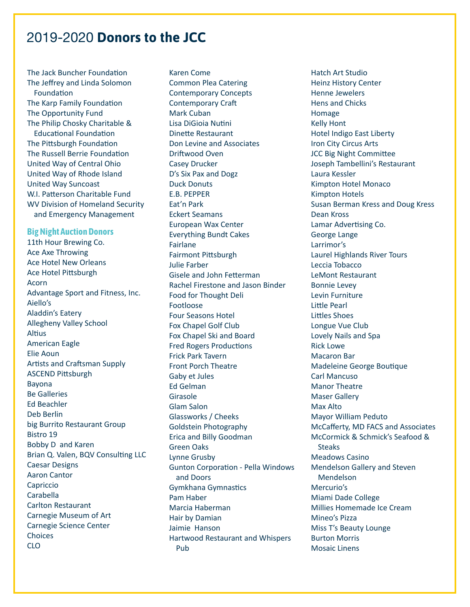The Jack Buncher Foundation The Jeffrey and Linda Solomon Foundation The Karp Family Foundation The Opportunity Fund The Philip Chosky Charitable & Educational Foundation The Pittsburgh Foundation The Russell Berrie Foundation United Way of Central Ohio United Way of Rhode Island United Way Suncoast W.I. Patterson Charitable Fund WV Division of Homeland Security and Emergency Management

#### **Big Night Auction Donors**

11th Hour Brewing Co. Ace Axe Throwing Ace Hotel New Orleans Ace Hotel Pittsburgh Acorn Advantage Sport and Fitness, Inc. Aiello's Aladdin's Eatery Allegheny Valley School Altius American Eagle Elie Aoun Artists and Craftsman Supply ASCEND Pittsburgh Bayona Be Galleries Ed Beachler Deb Berlin big Burrito Restaurant Group Bistro 19 Bobby D and Karen Brian Q. Valen, BQV Consulting LLC Caesar Designs Aaron Cantor Capriccio Carabella Carlton Restaurant Carnegie Museum of Art Carnegie Science Center Choices CLO

Karen Come Common Plea Catering Contemporary Concepts Contemporary Craft Mark Cuban Lisa DiGioia Nutini Dinette Restaurant Don Levine and Associates Driftwood Oven Casey Drucker D's Six Pax and Dogz Duck Donuts E.B. PEPPER Eat'n Park Eckert Seamans European Wax Center Everything Bundt Cakes Fairlane Fairmont Pittsburgh Julie Farber Gisele and John Fetterman Rachel Firestone and Jason Binder Food for Thought Deli Footloose Four Seasons Hotel Fox Chapel Golf Club Fox Chapel Ski and Board Fred Rogers Productions Frick Park Tavern Front Porch Theatre Gaby et Jules Ed Gelman Girasole Glam Salon Glassworks / Cheeks Goldstein Photography Erica and Billy Goodman Green Oaks Lynne Grusby Gunton Corporation - Pella Windows and Doors Gymkhana Gymnastics Pam Haber Marcia Haberman Hair by Damian Jaimie Hanson Hartwood Restaurant and Whispers Pub

Hatch Art Studio Heinz History Center Henne Jewelers Hens and Chicks Homage Kelly Hont Hotel Indigo East Liberty Iron City Circus Arts JCC Big Night Committee Joseph Tambellini's Restaurant Laura Kessler Kimpton Hotel Monaco Kimpton Hotels Susan Berman Kress and Doug Kress Dean Kross Lamar Advertising Co. George Lange Larrimor's Laurel Highlands River Tours Leccia Tobacco LeMont Restaurant Bonnie Levey Levin Furniture Little Pearl Littles Shoes Longue Vue Club Lovely Nails and Spa Rick Lowe Macaron Bar Madeleine George Boutique Carl Mancuso Manor Theatre Maser Gallery Max Alto Mayor William Peduto McCafferty, MD FACS and Associates McCormick & Schmick's Seafood & **Steaks** Meadows Casino Mendelson Gallery and Steven Mendelson Mercurio's Miami Dade College Millies Homemade Ice Cream Mineo's Pizza Miss T's Beauty Lounge Burton Morris Mosaic Linens